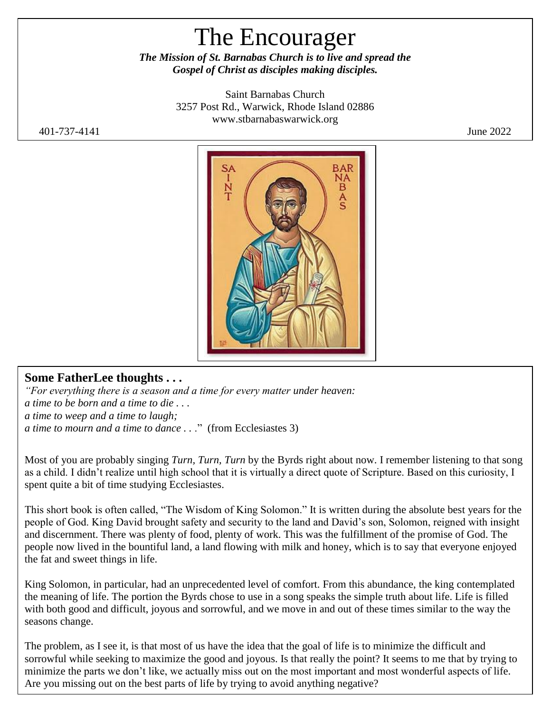# The Encourager

*The Mission of St. Barnabas Church is to live and spread the Gospel of Christ as disciples making disciples.*

> Saint Barnabas Church 3257 Post Rd., Warwick, Rhode Island 02886 [www.stbarnabaswarwick.org](http://www.stbarnabaswarwick.org/)

401-737-4141 June 2022



#### **Some FatherLee thoughts . . .**

*"For everything there is a season and a time for every matter under heaven: a time to be born and a time to die . . . a time to weep and a time to laugh; a time to mourn and a time to dance ...*" (from Ecclesiastes 3)

Most of you are probably singing *Turn, Turn, Turn* by the Byrds right about now. I remember listening to that song as a child. I didn't realize until high school that it is virtually a direct quote of Scripture. Based on this curiosity, I spent quite a bit of time studying Ecclesiastes.

This short book is often called, "The Wisdom of King Solomon." It is written during the absolute best years for the people of God. King David brought safety and security to the land and David's son, Solomon, reigned with insight and discernment. There was plenty of food, plenty of work. This was the fulfillment of the promise of God. The people now lived in the bountiful land, a land flowing with milk and honey, which is to say that everyone enjoyed the fat and sweet things in life.

King Solomon, in particular, had an unprecedented level of comfort. From this abundance, the king contemplated the meaning of life. The portion the Byrds chose to use in a song speaks the simple truth about life. Life is filled with both good and difficult, joyous and sorrowful, and we move in and out of these times similar to the way the seasons change.

The problem, as I see it, is that most of us have the idea that the goal of life is to minimize the difficult and sorrowful while seeking to maximize the good and joyous. Is that really the point? It seems to me that by trying to minimize the parts we don't like, we actually miss out on the most important and most wonderful aspects of life. Are you missing out on the best parts of life by trying to avoid anything negative?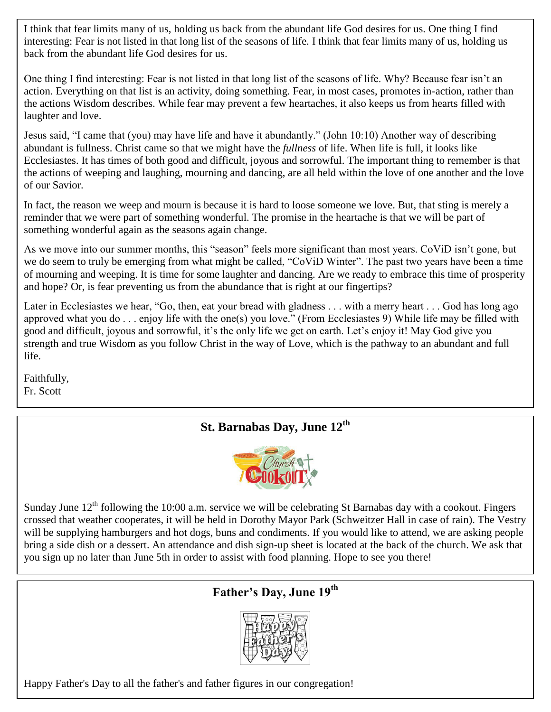I think that fear limits many of us, holding us back from the abundant life God desires for us. One thing I find interesting: Fear is not listed in that long list of the seasons of life. I think that fear limits many of us, holding us back from the abundant life God desires for us.

One thing I find interesting: Fear is not listed in that long list of the seasons of life. Why? Because fear isn't an action. Everything on that list is an activity, doing something. Fear, in most cases, promotes in-action, rather than the actions Wisdom describes. While fear may prevent a few heartaches, it also keeps us from hearts filled with laughter and love.

Jesus said, "I came that (you) may have life and have it abundantly." (John 10:10) Another way of describing abundant is fullness. Christ came so that we might have the *fullness* of life. When life is full, it looks like Ecclesiastes. It has times of both good and difficult, joyous and sorrowful. The important thing to remember is that the actions of weeping and laughing, mourning and dancing, are all held within the love of one another and the love of our Savior.

In fact, the reason we weep and mourn is because it is hard to loose someone we love. But, that sting is merely a reminder that we were part of something wonderful. The promise in the heartache is that we will be part of something wonderful again as the seasons again change.

As we move into our summer months, this "season" feels more significant than most years. CoViD isn't gone, but we do seem to truly be emerging from what might be called, "CoViD Winter". The past two years have been a time of mourning and weeping. It is time for some laughter and dancing. Are we ready to embrace this time of prosperity and hope? Or, is fear preventing us from the abundance that is right at our fingertips?

Later in Ecclesiastes we hear, "Go, then, eat your bread with gladness . . . with a merry heart . . . God has long ago approved what you do . . . enjoy life with the one(s) you love." (From Ecclesiastes 9) While life may be filled with good and difficult, joyous and sorrowful, it's the only life we get on earth. Let's enjoy it! May God give you strength and true Wisdom as you follow Christ in the way of Love, which is the pathway to an abundant and full life.

Faithfully, Fr. Scott

# **St. Barnabas Day, June 12th**



Sunday June  $12^{th}$  following the 10:00 a.m. service we will be celebrating St Barnabas day with a cookout. Fingers crossed that weather cooperates, it will be held in Dorothy Mayor Park (Schweitzer Hall in case of rain). The Vestry will be supplying hamburgers and hot dogs, buns and condiments. If you would like to attend, we are asking people bring a side dish or a dessert. An attendance and dish sign-up sheet is located at the back of the church. We ask that you sign up no later than June 5th in order to assist with food planning. Hope to see you there!

# **Father's Day, June 19th**



Happy Father's Day to all the father's and father figures in our congregation!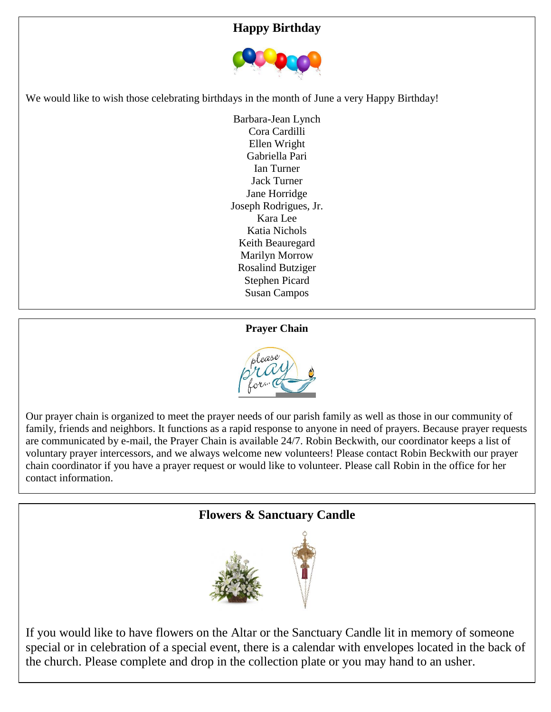#### **Happy Birthday**



We would like to wish those celebrating birthdays in the month of June a very Happy Birthday!

Barbara-Jean Lynch Cora Cardilli Ellen Wright Gabriella Pari Ian Turner Jack Turner Jane Horridge Joseph Rodrigues, Jr. Kara Lee Katia Nichols Keith Beauregard Marilyn Morrow Rosalind Butziger Stephen Picard Susan Campos

#### **Prayer Chain**



Our prayer chain is organized to meet the prayer needs of our parish family as well as those in our community of family, friends and neighbors. It functions as a rapid response to anyone in need of prayers. Because prayer requests are communicated by e-mail, the Prayer Chain is available 24/7. Robin Beckwith, our coordinator keeps a list of voluntary prayer intercessors, and we always welcome new volunteers! Please contact Robin Beckwith our prayer chain coordinator if you have a prayer request or would like to volunteer. Please call Robin in the office for her contact information.



If you would like to have flowers on the Altar or the Sanctuary Candle lit in memory of someone special or in celebration of a special event, there is a calendar with envelopes located in the back of the church. Please complete and drop in the collection plate or you may hand to an usher.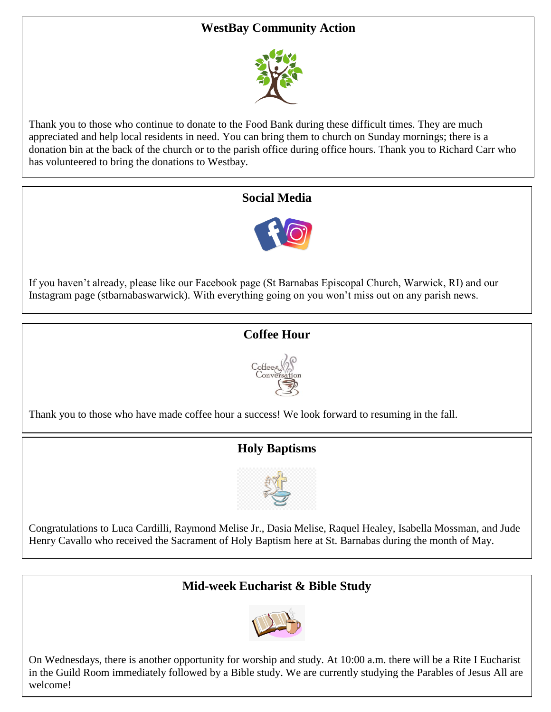### **WestBay Community Action**



Thank you to those who continue to donate to the Food Bank during these difficult times. They are much appreciated and help local residents in need. You can bring them to church on Sunday mornings; there is a donation bin at the back of the church or to the parish office during office hours. Thank you to Richard Carr who has volunteered to bring the donations to Westbay.

#### **Social Media**



If you haven't already, please like our Facebook page (St Barnabas Episcopal Church, Warwick, RI) and our Instagram page (stbarnabaswarwick). With everything going on you won't miss out on any parish news.

#### **Coffee Hour**



Thank you to those who have made coffee hour a success! We look forward to resuming in the fall.

# **Holy Baptisms**



Congratulations to Luca Cardilli, Raymond Melise Jr., Dasia Melise, Raquel Healey, Isabella Mossman, and Jude Henry Cavallo who received the Sacrament of Holy Baptism here at St. Barnabas during the month of May.

#### **Mid-week Eucharist & Bible Study**



On Wednesdays, there is another opportunity for worship and study. At 10:00 a.m. there will be a Rite I Eucharist in the Guild Room immediately followed by a Bible study. We are currently studying the Parables of Jesus All are welcome!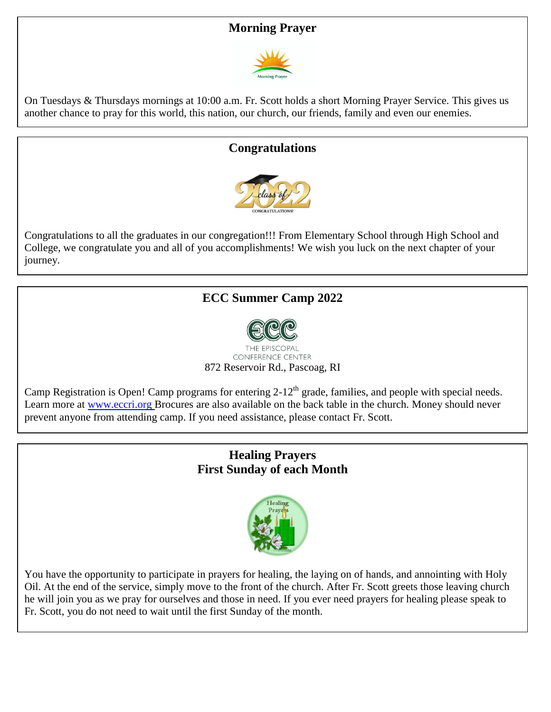#### **Morning Prayer**



On Tuesdays & Thursdays mornings at 10:00 a.m. Fr. Scott holds a short Morning Prayer Service. This gives us another chance to pray for this world, this nation, our church, our friends, family and even our enemies.

#### **Congratulations**



Congratulations to all the graduates in our congregation!!! From Elementary School through High School and College, we congratulate you and all of you accomplishments! We wish you luck on the next chapter of your journey.

#### **ECC Summer Camp 2022**



**CONFERENCE CENTER** 872 Reservoir Rd., Pascoag, RI

Camp Registration is Open! Camp programs for entering  $2-12^{th}$  grade, families, and people with special needs. Learn more at [www.eccri.org](http://www.eccri.org/) Brocures are also available on the back table in the church. Money should never prevent anyone from attending camp. If you need assistance, please contact Fr. Scott.

#### **Healing Prayers First Sunday of each Month**



You have the opportunity to participate in prayers for healing, the laying on of hands, and annointing with Holy Oil. At the end of the service, simply move to the front of the church. After Fr. Scott greets those leaving church he will join you as we pray for ourselves and those in need. If you ever need prayers for healing please speak to Fr. Scott, you do not need to wait until the first Sunday of the month.